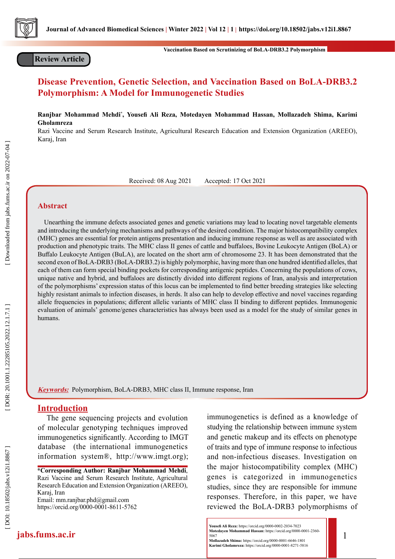

**Review Article**

**Vaccination Based on Scrutinizing of BoLA-DRB3.2 Polymorphism** 

# **Disease Prevention, Genetic Selection, and Vaccination Based on BoLA-DRB3.2 Polymorphism: A Model for Immunogenetic Studies**

**Ranjbar Mohammad Mehdi \* , Yousefi Ali Reza, Motedayen Mohammad Hassan, Mollazadeh Shima, Karimi Gholamreza**

Razi Vaccine and Serum Research Institute, Agricultural Research Education and Extension Organization (AREEO), Karaj, Iran

Received: 08 Aug 2021 Accepted: 17 Oct 2021

# **Abstract**

 Unearthing the immune defects associated genes and genetic variations may lead to locating novel targetable elements and introducing the underlying mechanisms and pathways of the desired condition. The major histocompatibility complex (MHC) genes are essential for protein antigens presentation and inducing immune response as well as are associated with production and phenotypic traits. The MHC class II genes of cattle and buffaloes, Bovine Leukocyte Antigen (BoLA) or Buffalo Leukocyte Antigen (BuLA), are located on the short arm of chromosome 23. It has been demonstrated that the second exon of BoLA-DRB3 (BoLA-DRB3.2) is highly polymorphic, having more than one hundred identified alleles, that each of them can form special binding pockets for corresponding antigenic peptides. Concerning the populations of cows, unique native and hybrid, and buffaloes are distinctly divided into different regions of Iran, analysis and interpretation of the polymorphisms' expression status of this locus can be implemented to find better breeding strategies like selecting highly resistant animals to infection diseases, in herds. It also can help to develop effective and novel vaccines regarding allele frequencies in populations; different allelic variants of MHC class II binding to different peptides. Immunogenic evaluation of animals' genome/genes characteristics has always been used as a model for the study of similar genes in humans.

**Keywords:** Polymorphism, BoLA-DRB3, MHC class II, Immune response, Iran

# **Introduction**

**jabs.fums.ac.ir**

The gene sequencing projects and evolution of molecular genotyping techniques improved immunogenetics significantly. According to IMGT database (the international immunogenetics information system®, http://www.imgt.org);

**\*Corresponding Author: Ranjbar Mohammad Mehdi**, Razi Vaccine and Serum Research Institute, Agricultural Research Education and Extension Organization (AREEO), Karaj, Iran Email: mm.ranjbar.phd@gmail.com

https://orcid.org/0000-0001-8611-5762

immunogenetics is defined as a knowledge of studying the relationship between immune system and genetic makeup and its effects on phenotype of traits and type of immune response to infectious and non-infectious diseases. Investigation on the major histocompatibility complex (MHC) genes is categorized in immunogenetics studies, since they are responsible for immune responses. Therefore, in this paper, we have reviewed the BoLA-DRB3 polymorphisms of

1

**Mollazadeh Shima:** https://orcid.org/0000-0001-6646-1801 **Karimi Gholamreza:** https://orcid.org/0000-0001-8271-5816

Downloaded from jabs.fums.ac.ir on 2022-07-04

**Yousefi Ali Reza:** https://orcid.org/0000-0002-2034-7023 **Motedayen Mohammad Hassan:** https://orcid.org/0000-0001-2360- 5067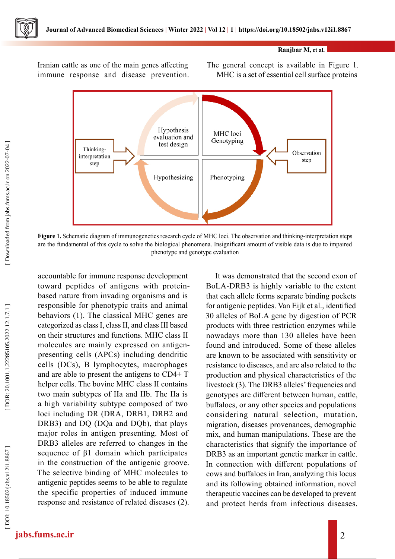

#### **Ranjbar M, et al.**

Iranian cattle as one of the main genes affecting immune response and disease prevention. The general concept is available in Figure 1. MHC is a set of essential cell surface proteins



**Figure 1.** Schematic diagram of immunogenetics research cycle of MHC loci. The observation and thinking-interpretation steps are the fundamental of this cycle to solve the biological phenomena. Insignificant amount of visible data is due to impaired phenotype and genotype evaluation

accountable for immune response development toward peptides of antigens with proteinbased nature from invading organisms and is responsible for phenotypic traits and animal behaviors (1). The classical MHC genes are categorized as class I, class II, and class III based on their structures and functions. MHC class II molecules are mainly expressed on antigenpresenting cells (APCs) including dendritic cells (DCs), B lymphocytes, macrophages and are able to present the antigens to CD4+ T helper cells. The bovine MHC class II contains two main subtypes of IIa and IIb. The IIa is a high variability subtype composed of two loci including DR (DRA, DRB1, DRB2 and DRB3) and DQ (DQa and DQb), that plays major roles in antigen presenting. Most of DRB3 alleles are referred to changes in the sequence of β1 domain which participates in the construction of the antigenic groove. The selective binding of MHC molecules to antigenic peptides seems to be able to regulate the specific properties of induced immune response and resistance of related diseases (2).

It was demonstrated that the second exon of BoLA-DRB3 is highly variable to the extent that each allele forms separate binding pockets for antigenic peptides. Van Eijk et al., identified 30 alleles of BoLA gene by digestion of PCR products with three restriction enzymes while nowadays more than 130 alleles have been found and introduced. Some of these alleles are known to be associated with sensitivity or resistance to diseases, and are also related to the production and physical characteristics of the livestock (3). The DRB3 alleles' frequencies and genotypes are different between human, cattle, buffaloes, or any other species and populations considering natural selection, mutation, migration, diseases provenances, demographic mix, and human manipulations. These are the characteristics that signify the importance of DRB3 as an important genetic marker in cattle. In connection with different populations of cows and buffaloes in Iran, analyzing this locus and its following obtained information, novel therapeutic vaccines can be developed to prevent and protect herds from infectious diseases.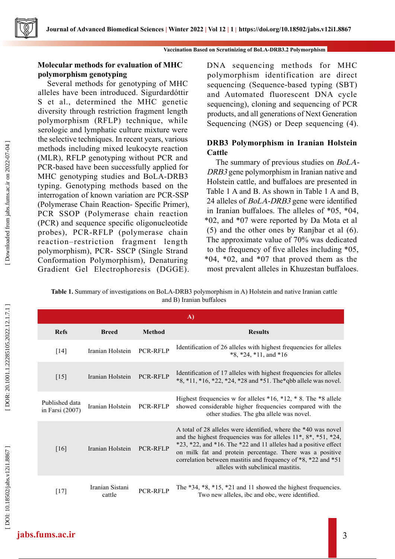

# **Molecular methods for evaluation of MHC polymorphism genotyping**

Several methods for genotyping of MHC alleles have been introduced. Sigurdardóttir S et al., determined the MHC genetic diversity through restriction fragment length polymorphism (RFLP) technique, while serologic and lymphatic culture mixture were the selective techniques. In recent years, various methods including mixed leukocyte reaction (MLR), RFLP genotyping without PCR and PCR-based have been successfully applied for MHC genotyping studies and BoLA-DRB3 typing. Genotyping methods based on the interrogation of known variation are PCR-SSP (Polymerase Chain Reaction- Specific Primer), PCR SSOP (Polymerase chain reaction (PCR) and sequence specific oligonucleotide probes), PCR-RFLP (polymerase chain reaction–restriction fragment length polymorphism), PCR- SSCP (Single Strand Conformation Polymorphism), Denaturing Gradient Gel Electrophoresis (DGGE). DNA sequencing methods for MHC polymorphism identification are direct sequencing (Sequence-based typing (SBT) and Automated fluorescent DNA cycle sequencing), cloning and sequencing of PCR products, and all generations of Next Generation Sequencing (NGS) or Deep sequencing (4).

# **DRB3 Polymorphism in Iranian Holstein Cattle**

The summary of previous studies on BoLA-DRB3 gene polymorphism in Iranian native and Holstein cattle, and buffaloes are presented in Table 1 A and B. As shown in Table 1 A and B, 24 alleles of BoLA-DRB3 gene were identified in Iranian buffaloes. The alleles of \*05, \*04, \*02, and \*07 were reported by Da Mota et al (5) and the other ones by Ranjbar et al (6). The approximate value of 70% was dedicated to the frequency of five alleles including \*05,  $*04$ ,  $*02$ , and  $*07$  that proved them as the most prevalent alleles in Khuzestan buffaloes.

**Table 1.** Summary of investigations on BoLA-DRB3 polymorphism in A) Holstein and native Iranian cattle and B) Iranian buffaloes

| A)                                |                           |                 |                                                                                                                                                                                                                                                                                                                                                                                                 |  |
|-----------------------------------|---------------------------|-----------------|-------------------------------------------------------------------------------------------------------------------------------------------------------------------------------------------------------------------------------------------------------------------------------------------------------------------------------------------------------------------------------------------------|--|
| <b>Refs</b>                       | <b>Breed</b>              | <b>Method</b>   | <b>Results</b>                                                                                                                                                                                                                                                                                                                                                                                  |  |
| $\lceil 14 \rceil$                | Iranian Holstein          | PCR-RFLP        | Identification of 26 alleles with highest frequencies for alleles<br>$*8, *24, *11, and *16$                                                                                                                                                                                                                                                                                                    |  |
| $[15]$                            | Iranian Holstein          | <b>PCR-RFLP</b> | Identification of 17 alleles with highest frequencies for alleles<br>$*8, *11, *16, *22, *24, *28$ and $*51$ . The $*$ qbb allele was novel.                                                                                                                                                                                                                                                    |  |
| Published data<br>in Farsi (2007) | Iranian Holstein          | <b>PCR-RFLP</b> | Highest frequencies w for alleles $*16, *12, *8$ . The $*8$ allele<br>showed considerable higher frequencies compared with the<br>other studies. The gba allele was novel.                                                                                                                                                                                                                      |  |
| [16]                              | Iranian Holstein          | <b>PCR-RFLP</b> | A total of 28 alleles were identified, where the *40 was novel<br>and the highest frequencies was for alleles $11^*$ , $8^*$ , $*51$ , $*24$ ,<br>$*23$ , $*22$ , and $*16$ . The $*22$ and 11 alleles had a positive effect<br>on milk fat and protein percentage. There was a positive<br>correlation between mastitis and frequency of *8, *22 and *51<br>alleles with subclinical mastitis. |  |
| $[17]$                            | Iranian Sistani<br>cattle | <b>PCR-RELP</b> | The $*34, *8, *15, *21$ and 11 showed the highest frequencies.<br>Two new alleles, ibc and obc, were identified.                                                                                                                                                                                                                                                                                |  |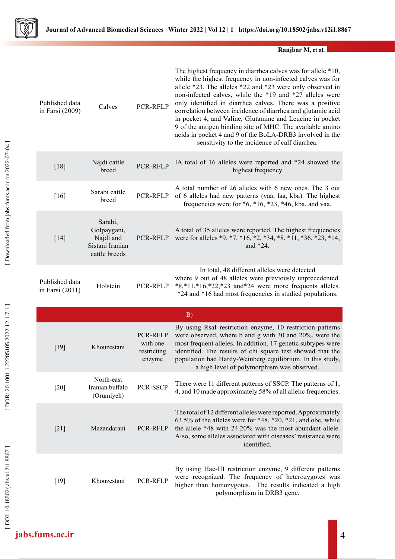

**Ranjbar M, et al.**

| Published data<br>in Farsi (2009) | Calves                                                                  | <b>PCR-RFLP</b>                               | The highest frequency in diarrhea calves was for allele *10,<br>while the highest frequency in non-infected calves was for<br>allele *23. The alleles *22 and *23 were only observed in<br>non-infected calves, while the *19 and *27 alleles were<br>only identified in diarrhea calves. There was a positive<br>correlation between incidence of diarrhea and glutamic acid<br>in pocket 4, and Valine, Glutamine and Leucine in pocket<br>9 of the antigen binding site of MHC. The available amino<br>acids in pocket 4 and 9 of the BoLA-DRB3 involved in the<br>sensitivity to the incidence of calf diarrhea. |
|-----------------------------------|-------------------------------------------------------------------------|-----------------------------------------------|----------------------------------------------------------------------------------------------------------------------------------------------------------------------------------------------------------------------------------------------------------------------------------------------------------------------------------------------------------------------------------------------------------------------------------------------------------------------------------------------------------------------------------------------------------------------------------------------------------------------|
| $[18]$                            | Najdi cattle<br>breed                                                   | <b>PCR-RFLP</b>                               | IA total of 16 alleles were reported and *24 showed the<br>highest frequency                                                                                                                                                                                                                                                                                                                                                                                                                                                                                                                                         |
| $[16]$                            | Sarabi cattle<br>breed                                                  | PCR-RFLP                                      | A total number of 26 alleles with 6 new ones. The 3 out<br>of 6 alleles had new patterns (vaa, laa, kba). The highest<br>frequencies were for $*6, *16, *23, *46, kba$ , and vaa.                                                                                                                                                                                                                                                                                                                                                                                                                                    |
| $[14]$                            | Sarabi,<br>Golpaygani,<br>Najdi and<br>Sistani Iranian<br>cattle breeds | PCR-RFLP                                      | A total of 35 alleles were reported. The highest frequencies<br>were for alleles *9, *7, *16, *2, *34, *8, *11, *36, *23, *14,<br>and *24.                                                                                                                                                                                                                                                                                                                                                                                                                                                                           |
| Published data<br>in Farsi (2011) | Holstein                                                                | PCR-RFLP                                      | In total, 48 different alleles were detected<br>where 9 out of 48 alleles were previously unprecedented.<br>$*8,*11,*16,*22,*23$ and *24 were more frequents alleles.<br>*24 and *16 had most frequencies in studied populations.                                                                                                                                                                                                                                                                                                                                                                                    |
|                                   |                                                                         |                                               |                                                                                                                                                                                                                                                                                                                                                                                                                                                                                                                                                                                                                      |
|                                   |                                                                         |                                               | B)                                                                                                                                                                                                                                                                                                                                                                                                                                                                                                                                                                                                                   |
| $[19]$                            | Khouzestani                                                             | PCR-RFLP<br>with one<br>restricting<br>enzyme | By using RsaI restriction enzyme, 10 restriction patterns<br>were observed, where b and g with 30 and 20%, were the<br>most frequent alleles. In addition, 17 genetic subtypes were<br>identified. The results of chi square test showed that the<br>population had Hardy-Weinberg equilibrium. In this study,<br>a high level of polymorphism was observed.                                                                                                                                                                                                                                                         |
| $[20]$                            | North-east<br>Iranian buffalo<br>(Orumiyeh)                             | PCR-SSCP                                      | There were 11 different patterns of SSCP. The patterns of 1,<br>4, and 10 made approximately 58% of all allelic frequencies.                                                                                                                                                                                                                                                                                                                                                                                                                                                                                         |
| $[21]$                            | Mazandarani                                                             | PCR-RFLP                                      | The total of 12 different alleles were reported. Approximately<br>63.5% of the alleles were for *48, *20, *21, and obe, while<br>the allele *48 with 24.20% was the most abundant allele.<br>Also, some alleles associated with diseases' resistance were<br>identified.                                                                                                                                                                                                                                                                                                                                             |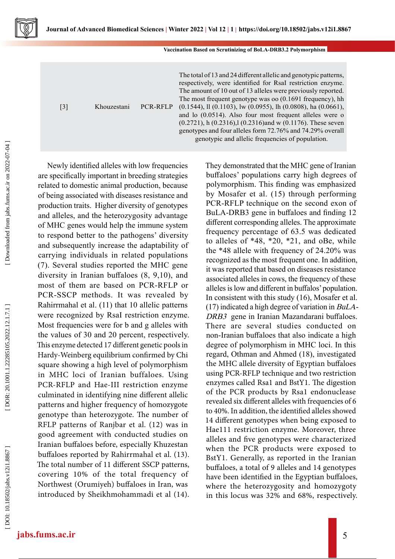

| [3] | Khouzestani | <b>PCR-RFLP</b> | The total of 13 and 24 different allelic and genotypic patterns,<br>respectively, were identified for RsaI restriction enzyme.<br>The amount of 10 out of 13 alleles were previously reported.<br>The most frequent genotype was oo $(0.1691$ frequency), hh<br>$(0.1544)$ , ll $(0.1103)$ , lw $(0.0955)$ , lh $(0.0808)$ , ha $(0.0661)$ ,<br>and lo $(0.0514)$ . Also four most frequent alleles were o<br>$(0.2721)$ , h $(0.2316)$ , l $(0.2316)$ and w $(0.1176)$ . These seven<br>genotypes and four alleles form 72.76% and 74.29% overall |
|-----|-------------|-----------------|----------------------------------------------------------------------------------------------------------------------------------------------------------------------------------------------------------------------------------------------------------------------------------------------------------------------------------------------------------------------------------------------------------------------------------------------------------------------------------------------------------------------------------------------------|
|     |             |                 | genotypic and allelic frequencies of population.                                                                                                                                                                                                                                                                                                                                                                                                                                                                                                   |

[ DOI: 10.18502/jabs.v12i1.8867 ] [\[ DOR: 20.1001.1.22285105.2022.12.1.7.1](https://dorl.net/dor/20.1001.1.22285105.2022.12.1.7.1) ] [\[ Downloaded from jabs.fums.ac.ir on 2022](https://jabs.fums.ac.ir/article-1-2702-en.html)-07-04 ] Downloaded from jabs.fums.ac.ir on 2022-07-04

are specifically important in breeding strategies related to domestic animal production, because of being associated with diseases resistance and production traits. Higher diversity of genotypes and alleles, and the heterozygosity advantage of MHC genes would help the immune system to respond better to the pathogens' diversity and subsequently increase the adaptability of carrying individuals in related populations (7). Several studies reported the MHC gene diversity in Iranian buffaloes (8, 9,10), and most of them are based on PCR-RFLP or PCR-SSCP methods. It was revealed by Rahirrmahal et al. (11) that 10 allelic patterns were recognized by RsaI restriction enzyme. Most frequencies were for b and g alleles with the values of 30 and 20 percent, respectively. This enzyme detected 17 different genetic pools in Hardy-Weinberg equilibrium confirmed by Chi square showing a high level of polymorphism in MHC loci of Iranian buffaloes. Using PCR-RFLP and Hae-III restriction enzyme culminated in identifying nine different allelic patterns and higher frequency of homozygote genotype than heterozygote. The number of RFLP patterns of Ranjbar et al. (12) was in good agreement with conducted studies on Iranian buffaloes before, especially Khuzestan buffaloes reported by Rahirrmahal et al. (13). The total number of 11 different SSCP patterns, covering 10% of the total frequency of Northwest (Orumiyeh) buffaloes in Iran, was introduced by Sheikhmohammadi et al (14).

Newly identified alleles with low frequencies

They demonstrated that the MHC gene of Iranian buffaloes' populations carry high degrees of polymorphism. This finding was emphasized by Mosafer et al. (15) through performing PCR-RFLP technique on the second exon of BuLA-DRB3 gene in buffaloes and finding 12 different corresponding alleles. The approximate frequency percentage of 63.5 was dedicated to alleles of \*48, \*20, \*21, and oBe, while the \*48 allele with frequency of 24.20% was recognized as the most frequent one. In addition, it was reported that based on diseases resistance associated alleles in cows, the frequency of these alleles is low and different in buffalos' population. In consistent with this study (16), Mosafer et al. (17) indicated a high degree of variation in BuLA-DRB3 gene in Iranian Mazandarani buffaloes. There are several studies conducted on non-Iranian buffaloes that also indicate a high degree of polymorphism in MHC loci. In this regard, Othman and Ahmed (18), investigated the MHC allele diversity of Egyptian buffaloes using PCR-RFLP technique and two restriction enzymes called Rsa1 and BstY1. The digestion of the PCR products by Rsa1 endonuclease revealed six different alleles with frequencies of 6 to 40%. In addition, the identified alleles showed 14 different genotypes when being exposed to Hae111 restriction enzyme. Moreover, three alleles and five genotypes were characterized when the PCR products were exposed to BstY1. Generally, as reported in the Iranian buffaloes, a total of 9 alleles and 14 genotypes have been identified in the Egyptian buffaloes, where the heterozygosity and homozygoty in this locus was 32% and 68%, respectively.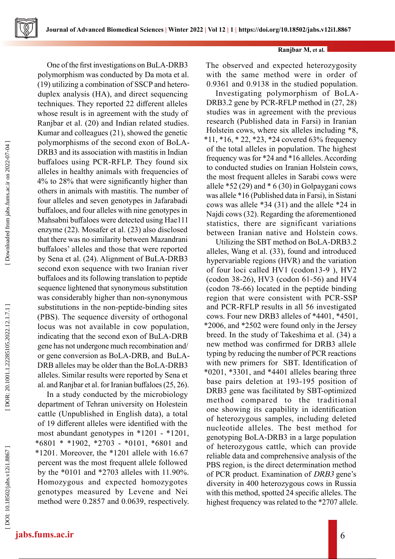Downloaded from jabs.fums.ac.ir on 2022-07-04

One of the first investigations on BuLA-DRB3 polymorphism was conducted by Da mota et al. (19) utilizing a combination of SSCP and heteroduplex analysis (HA), and direct sequencing techniques. They reported 22 different alleles whose result is in agreement with the study of Ranjbar et al. (20) and Indian related studies. Kumar and colleagues (21), showed the genetic polymorphisms of the second exon of BoLA-DRB3 and its association with mastitis in Indian buffaloes using PCR-RFLP. They found six alleles in healthy animals with frequencies of 4% to 28% that were significantly higher than others in animals with mastitis. The number of four alleles and seven genotypes in Jafarabadi buffaloes, and four alleles with nine genotypes in Mahsabni buffaloes were detected using Hae111 enzyme (22). Mosafer et al. (23) also disclosed that there was no similarity between Mazandrani buffaloes' alleles and those that were reported by Sena et al. (24). Alignment of BuLA-DRB3 second exon sequence with two Iranian river buffaloes and its following translation to peptide sequence lightened that synonymous substitution was considerably higher than non-synonymous substitutions in the non-peptide-binding sites (PBS). The sequence diversity of orthogonal locus was not available in cow population, indicating that the second exon of BuLA-DRB gene has not undergone much recombination and/ or gene conversion as BoLA-DRB, and BuLA-DRB alleles may be older than the BoLA-DRB3 alleles. Similar results were reported by Sena et al. and Ranjbar et al. for Iranian buffaloes (25, 26).

In a study conducted by the microbiology department of Tehran university on Holestein cattle (Unpublished in English data), a total of 19 different alleles were identified with the most abundant genotypes in \*1201 - \*1201, \*6801 \* \*1902, \*2703 - \*0101, \*6801 and \*1201. Moreover, the \*1201 allele with 16.67 percent was the most frequent allele followed by the \*0101 and \*2703 alleles with 11.90%. Homozygous and expected homozygotes genotypes measured by Levene and Nei method were 0.2857 and 0.0639, respectively.

# **Ranjbar M, et al.**

The observed and expected heterozygosity with the same method were in order of 0.9361 and 0.9138 in the studied population.

Investigating polymorphism of BoLA-DRB3.2 gene by PCR-RFLP method in  $(27, 28)$ studies was in agreement with the previous research (Published data in Farsi) in Iranian Holstein cows, where six alleles including \*8, \*11, \*16, \* 22, \*23, \*24 covered 63% frequency of the total alleles in population. The highest frequency was for \*24 and \*16 alleles. According to conducted studies on Iranian Holstein cows, the most frequent alleles in Sarabi cows were allele \*52 (29) and \* 6 (30) in Golpaygani cows was allele \*16 (Published data in Farsi), in Sistani cows was allele \*34 (31) and the allele \*24 in Najdi cows (32). Regarding the aforementioned statistics, there are significant variations between Iranian native and Holstein cows.

Utilizing the SBT method on BoLA-DRB3.2 alleles, Wang et al. (33), found and introduced hypervariable regions (HVR) and the variation of four loci called HV1 (codon13-9 ), HV2 (codon 38-26), HV3 (codon 61-56) and HV4 (codon 78-66) located in the peptide binding region that were consistent with PCR-SSP and PCR-RFLP results in all 56 investigated cows. Four new DRB3 alleles of \*4401, \*4501, \*2006, and \*2502 were found only in the Jersey breed. In the study of Takeshima et al. (34) a new method was confirmed for DRB3 allele typing by reducing the number of PCR reactions with new primers for SBT. Identification of \*0201, \*3301, and \*4401 alleles bearing three base pairs deletion at 193-195 position of DRB3 gene was facilitated by SBT-optimized method compared to the traditional one showing its capability in identification of heterozygous samples, including deleted nucleotide alleles. The best method for genotyping BoLA-DRB3 in a large population of heterozygous cattle, which can provide reliable data and comprehensive analysis of the PBS region, is the direct determination method of PCR product. Examination of DRB3 gene's diversity in 400 heterozygous cows in Russia with this method, spotted 24 specific alleles. The highest frequency was related to the \*2707 allele.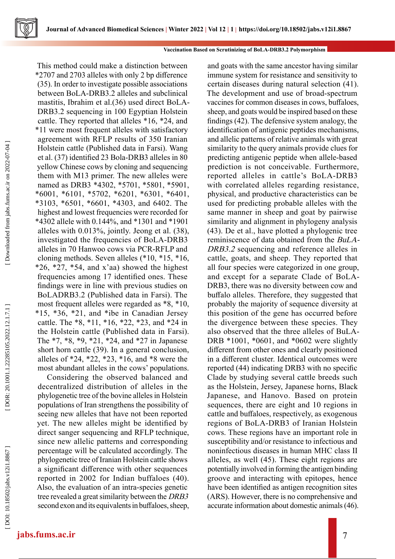

#### **Vaccination Based on Scrutinizing of BoLA-DRB3.2 Polymorphism**

This method could make a distinction between \*2707 and 2703 alleles with only 2 bp difference (35). In order to investigate possible associations between BoLA-DRB3.2 alleles and subclinical mastitis, Ibrahim et al.(36) used direct BoLA-DRB3.2 sequencing in 100 Egyptian Holstein cattle. They reported that alleles \*16, \*24, and \*11 were most frequent alleles with satisfactory agreement with RFLP results of 350 Iranian Holstein cattle (Published data in Farsi). Wang et al. (37) identified 23 Bola-DRB3 alleles in 80 yellow Chinese cows by cloning and sequencing them with M13 primer. The new alleles were named as DRB3 \*4302, \*5701, \*5801, \*5901, \*6001, \*6101, \*5702, \*6201, \*6301, \*6401, \*3103, \*6501, \*6601, \*4303, and 6402. The highest and lowest frequencies were recorded for \*4302 allele with 0.144%, and \*1301 and \*1901 alleles with 0.013%, jointly. Jeong et al. (38), investigated the frequencies of BoLA-DRB3 alleles in 70 Hanwoo cows via PCR-RFLP and cloning methods. Seven alleles (\*10, \*15, \*16,  $*26, *27, *54,$  and x'aa) showed the highest frequencies among 17 identified ones. These findings were in line with previous studies on BoLADRB3.2 (Published data in Farsi). The most frequent alleles were regarded as \*8, \*10, \*15, \*36, \*21, and \*ibe in Canadian Jersey cattle. The \*8, \*11, \*16, \*22, \*23, and \*24 in the Holstein cattle (Published data in Farsi). The \*7, \*8, \*9, \*21, \*24, and \*27 in Japanese short horn cattle (39). In a general conclusion, alleles of \*24, \*22, \*23, \*16, and \*8 were the most abundant alleles in the cows' populations.

Considering the observed balanced and decentralized distribution of alleles in the phylogenetic tree of the bovine alleles in Holstein populations of Iran strengthens the possibility of seeing new alleles that have not been reported yet. The new alleles might be identified by direct sanger sequencing and RFLP technique, since new allelic patterns and corresponding percentage will be calculated accordingly. The phylogenetic tree of Iranian Holstein cattle shows a significant difference with other sequences reported in 2002 for Indian buffaloes (40). Also, the evaluation of an intra-species genetic tree revealed a great similarity between the DRB3 second exon and its equivalents in buffaloes, sheep,

and goats with the same ancestor having similar immune system for resistance and sensitivity to certain diseases during natural selection (41). The development and use of broad-spectrum vaccines for common diseases in cows, buffaloes, sheep, and goats would be inspired based on these findings (42). The defensive system analogy, the identification of antigenic peptides mechanisms, and allelic patterns of relative animals with great similarity to the query animals provide clues for predicting antigenic peptide when allele-based prediction is not conceivable. Furthermore, reported alleles in cattle's BoLA-DRB3 with correlated alleles regarding resistance, physical, and productive characteristics can be used for predicting probable alleles with the same manner in sheep and goat by pairwise similarity and alignment in phylogeny analysis (43). De et al., have plotted a phylogenic tree reminiscence of data obtained from the BuLA-DRB3.2 sequencing and reference alleles in cattle, goats, and sheep. They reported that all four species were categorized in one group, and except for a separate Clade of BoLA-DRB3, there was no diversity between cow and buffalo alleles. Therefore, they suggested that probably the majority of sequence diversity at this position of the gene has occurred before the divergence between these species. They also observed that the three alleles of BuLA-DRB \*1001, \*0601, and \*0602 were slightly different from other ones and clearly positioned in a different cluster. Identical outcomes were reported (44) indicating DRB3 with no specific Clade by studying several cattle breeds such as the Holstein, Jersey, Japanese horns, Black Japanese, and Hanovo. Based on protein sequences, there are eight and 10 regions in cattle and buffaloes, respectively, as exogenous regions of BoLA-DRB3 of Iranian Holstein cows. These regions have an important role in susceptibility and/or resistance to infectious and noninfectious diseases in human MHC class II alleles, as well (45). These eight regions are potentially involved in forming the antigen binding groove and interacting with epitopes, hence have been identified as antigen recognition sites (ARS). However, there is no comprehensive and accurate information about domestic animals (46).

DOI: 10.18502/jabs.v12i1.8867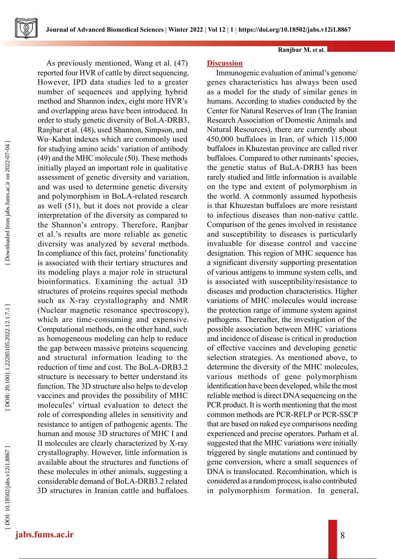**Journal of Advanced Biomedical Sciences | Winter 2022 | Vol 12 | 1 https://doi.org/10.18502/jabs.v12i1.8867**

#### **Ranjbar M, et al.**

As previously mentioned, Wang et al. (47) reported four HVR of cattle by direct sequencing. However, IPD data studies led to a greater number of sequences and applying hybrid method and Shannon index, eight more HVR's and overlapping areas have been introduced. In order to study genetic diversity of BoLA-DRB3, Ranjbar et al. (48), used Shannon, Simpson, and Wu–Kabat indexes which are commonly used for studying amino acids' variation of antibody (49) and the MHC molecule (50). These methods initially played an important role in qualitative assessment of genetic diversity and variation, and was used to determine genetic diversity and polymorphism in BoLA-related research as well (51), but it does not provide a clear interpretation of the diversity as compared to the Shannon's entropy. Therefore, Ranjbar et al.'s results are more reliable as genetic diversity was analyzed by several methods. In compliance of this fact, proteins' functionality is associated with their tertiary structures and its modeling plays a major role in structural bioinformatics. Examining the actual 3D structures of proteins requires special methods such as X-ray crystallography and NMR (Nuclear magnetic resonance spectroscopy), which are time-consuming and expensive. Computational methods, on the other hand, such as homogeneous modeling can help to reduce the gap between massive proteins sequencing and structural information leading to the reduction of time and cost. The BoLA-DRB3.2 structure is necessary to better understand its function. The 3D structure also helps to develop vaccines and provides the possibility of MHC molecules' virtual evaluation to detect the role of corresponding alleles in sensitivity and resistance to antigen of pathogenic agents. The human and mouse 3D structures of MHC I and II molecules are clearly characterized by X-ray crystallography. However, little information is available about the structures and functions of these molecules in other animals, suggesting a considerable demand of BoLA-DRB3.2 related 3D structures in Iranian cattle and buffaloes.

## **Discussion**

Immunogenic evaluation of animal's genome/ genes characteristics has always been used as a model for the study of similar genes in humans. According to studies conducted by the Center for Natural Reserves of Iran (The Iranian Research Association of Domestic Animals and Natural Resources), there are currently about 450,000 buffaloes in Iran, of which 115,000 buffaloes in Khuzestan province are called river buffaloes. Compared to other ruminants' species, the genetic status of BuLA-DRB3 has been rarely studied and little information is available on the type and extent of polymorphism in the world. A commonly assumed hypothesis is that Khuzestan buffaloes are more resistant to infectious diseases than non-native cattle. Comparison of the genes involved in resistance and susceptibility to diseases is particularly invaluable for disease control and vaccine designation. This region of MHC sequence has a significant diversity supporting presentation of various antigens to immune system cells, and is associated with susceptibility/resistance to diseases and production characteristics. Higher variations of MHC molecules would increase the protection range of immune system against pathogens. Thereafter, the investigation of the possible association between MHC variations and incidence of disease is critical in production of effective vaccines and developing genetic selection strategies. As mentioned above, to determine the diversity of the MHC molecules, various methods of gene polymorphism identification have been developed, while the most reliable method is direct DNA sequencing on the PCR product. It is worth mentioning that the most common methods are PCR-RFLP or PCR-SSCP that are based on naked eye comparisons needing experienced and precise operators. Parham et al. suggested that the MHC variations were initially triggered by single mutations and continued by gene conversion, where a small sequences of DNA is translocated. Recombination, which is considered as a random process, is also contributed in polymorphism formation. In general,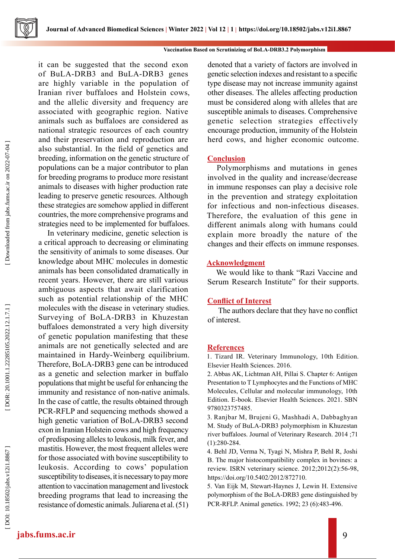#### **Vaccination Based on Scrutinizing of BoLA-DRB3.2 Polymorphism**

it can be suggested that the second exon of BuLA-DRB3 and BuLA-DRB3 genes are highly variable in the population of Iranian river buffaloes and Holstein cows, and the allelic diversity and frequency are associated with geographic region. Native animals such as buffaloes are considered as national strategic resources of each country and their preservation and reproduction are also substantial. In the field of genetics and breeding, information on the genetic structure of populations can be a major contributor to plan for breeding programs to produce more resistant animals to diseases with higher production rate leading to preserve genetic resources. Although these strategies are somehow applied in different countries, the more comprehensive programs and strategies need to be implemented for buffaloes.

In veterinary medicine, genetic selection is a critical approach to decreasing or eliminating the sensitivity of animals to some diseases. Our knowledge about MHC molecules in domestic animals has been consolidated dramatically in recent years. However, there are still various ambiguous aspects that await clarification such as potential relationship of the MHC molecules with the disease in veterinary studies. Surveying of BoLA-DRB3 in Khuzestan buffaloes demonstrated a very high diversity of genetic population manifesting that these animals are not genetically selected and are maintained in Hardy-Weinberg equilibrium. Therefore, BoLA-DRB3 gene can be introduced as a genetic and selection marker in buffalo populations that might be useful for enhancing the immunity and resistance of non-native animals. In the case of cattle, the results obtained through PCR-RFLP and sequencing methods showed a high genetic variation of BoLA-DRB3 second exon in Iranian Holstein cows and high frequency of predisposing alleles to leukosis, milk fever, and mastitis. However, the most frequent alleles were for those associated with bovine susceptibility to leukosis. According to cows' population susceptibility to diseases, it is necessary to pay more attention to vaccination management and livestock breeding programs that lead to increasing the resistance of domestic animals. Juliarena et al. (51)

denoted that a variety of factors are involved in genetic selection indexes and resistant to a specific type disease may not increase immunity against other diseases. The alleles affecting production must be considered along with alleles that are susceptible animals to diseases. Comprehensive genetic selection strategies effectively encourage production, immunity of the Holstein herd cows, and higher economic outcome.

# **Conclusion**

Polymorphisms and mutations in genes involved in the quality and increase/decrease in immune responses can play a decisive role in the prevention and strategy exploitation for infectious and non-infectious diseases. Therefore, the evaluation of this gene in different animals along with humans could explain more broadly the nature of the changes and their effects on immune responses.

## **Acknowledgment**

We would like to thank "Razi Vaccine and Serum Research Institute" for their supports.

# **Conflict of Interest**

 The authors declare that they have no conflict of interest.

## **References**

1. Tizard IR. Veterinary Immunology, 10th Edition. Elsevier Health Sciences. 2016.

2. Abbas AK, Lichtman AH, Pillai S. Chapter 6: Antigen Presentation to T Lymphocytes and the Functions of MHC Molecules, Cellular and molecular immunology, 10th Edition. E-book. Elsevier Health Sciences. 2021. SBN 9780323757485.

3. Ranjbar M, Brujeni G, Mashhadi A, Dabbaghyan M. Study of BuLA-DRB3 polymorphism in Khuzestan river buffaloes. Journal of Veterinary Research. 2014 ;71 (1):280-284.

4. Behl JD, Verma N, Tyagi N, Mishra P, Behl R, Joshi B. The major histocompatibility complex in bovines: a review. ISRN veterinary science. 2012;2012(2):56-98, https://doi.org/10.5402/2012/872710.

5. Van Eijk M, Stewart‐Haynes J, Lewin H. Extensive polymorphism of the BoLA‐DRB3 gene distinguished by PCR‐RFLP. Animal genetics. 1992; 23 (6):483-496.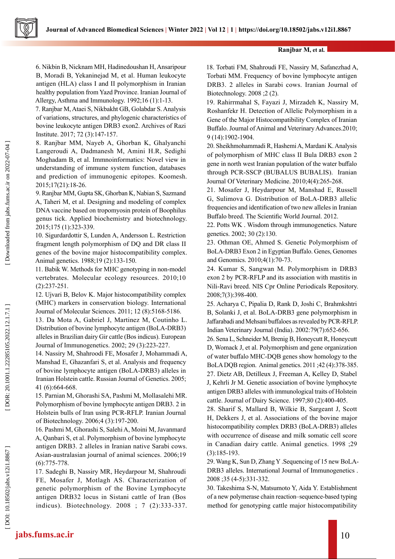## **Ranjbar M, et al.**

6. Nikbin B, Nicknam MH, Hadinedoushan H, Ansaripour B, Moradi B, Yekaninejad M, et al. Human leukocyte antigen (HLA) class I and II polymorphism in Iranian healthy population from Yazd Province. Iranian Journal of Allergy, Asthma and Immunology. 1992;16 (1):1-13.

7. Ranjbar M, Ataei S, Nikbakht GB, Golabdar S. Analysis of variations, structures, and phylogenic characteristics of bovine leukocyte antigen DRB3 exon2. Archives of Razi Institute. 2017; 72 (3):147-157.

8. Ranjbar MM, Nayeb A, Ghorban K, Ghalyanchi Langeroudi A, Dadmanesh M, Amini H.R, Sedighi Moghadam B, et al. Immnoinformatics: Novel view in understanding of immune system function, databases and prediction of immunogenic epitopes. Koomesh. 2015;17(21):18-26.

9. Ranjbar MM, Gupta SK, Ghorban K, Nabian S, Sazmand A, Taheri M, et al. Designing and modeling of complex DNA vaccine based on tropomyosin protein of Boophilus genus tick. Applied biochemistry and biotechnology. 2015;175 (1):323-339.

10. Sigurdardottir S, Lunden A, Andersson L. Restriction fragment length polymorphism of DQ and DR class II genes of the bovine major histocompatibility complex. Animal genetics. 1988;19 (2):133-150.

11. Babik W. Methods for MHC genotyping in non‐model vertebrates. Molecular ecology resources. 2010;10 (2):237-251.

12. Ujvari B, Belov K. Major histocompatibility complex (MHC) markers in conservation biology. International Journal of Molecular Sciences. 2011; 12 (8):5168-5186.

13. Da Mota A, Gabriel J, Martinez M, Coutinho L. Distribution of bovine lymphocyte antigen (BoLA‐DRB3) alleles in Brazilian dairy Gir cattle (Bos indicus). European Journal of Immunogenetics. 2002; 29 (3):223-227.

14. Nassiry M, Shahroodi FE, Mosafer J, Mohammadi A, Manshad E, Ghazanfari S, et al. Analysis and frequency of bovine lymphocyte antigen (BoLA-DRB3) alleles in Iranian Holstein cattle. Russian Journal of Genetics. 2005; 41 (6):664-668.

15. Parnian M, Ghorashi SA, Pashmi M, Mollasalehi MR. Polymorphism of bovine lymphocyte antigen DRB3. 2 in Holstein bulls of Iran using PCR-RFLP. Iranian Journal of Biotechnology. 2006;4 (3):197-200.

16. Pashmi M, Ghorashi S, Salehi A, Moini M, Javanmard A, Qanbari S, et al. Polymorphism of bovine lymphocyte antigen DRB3. 2 alleles in Iranian native Sarabi cows. Asian-australasian journal of animal sciences. 2006;19 (6):775-778.

17. Sadeghi B, Nassiry MR, Heydarpour M, Shahroudi FE, Mosafer J, Motlagh AS. Characterization of genetic polymorphism of the Bovine Lymphocyte antigen DRB32 locus in Sistani cattle of Iran (Bos indicus). Biotechnology. 2008 ; 7 (2):333-337. 18. Torbati FM, Shahroudi FE, Nassiry M, Safanezhad A, Torbati MM. Frequency of bovine lymphocyte antigen DRB3. 2 alleles in Sarabi cows. Iranian Journal of Biotechnology. 2008 ;2 (2).

19. Rahirrmahal S, Fayazi J, Mirzadeh K, Nassiry M, Roshanfekr H. Detection of Allelic Polymorphism in a Gene of the Major Histocompatibility Complex of Iranian Buffalo. Journal of Animal and Veterinary Advances.2010; 9 (14):1902-1904.

20. Sheikhmohammadi R, Hashemi A, Mardani K. Analysis of polymorphism of MHC class II Bula DRB3 exon 2 gene in north west Iranian population of the water buffalo through PCR-SSCP (BUBALUS BUBALIS). Iranian Journal Of Veterinary Medicine. 2010;4(4):265-268.

21. Mosafer J, Heydarpour M, Manshad E, Russell G, Sulimova G. Distribution of BoLA-DRB3 allelic frequencies and identification of two new alleles in Iranian Buffalo breed. The Scientific World Journal. 2012.

22. Potts WK . Wisdom through immunogenetics. Nature genetics. 2002; 30 (2):130.

23. Othman OE, Ahmed S. Genetic Polymorphism of BoLA-DRB3 Exon 2 in Egyptian Buffalo. Genes, Genomes and Genomics. 2010;4(1):70-73.

24. Kumar S, Sangwan M. Polymorphism in DRB3 exon 2 by PCR-RFLP and its association with mastitis in Nili-Ravi breed. NIS Cpr Online Periodicals Repository. 2008;7(3):398-400.

25. Acharya C, Pipalia D, Rank D, Joshi C, Brahmkshtri B, Solanki J, et al. BoLA-DRB3 gene polymorphism in Jaffarabadi and Mehsani buffaloes as revealed by PCR-RFLP. Indian Veterinary Journal (India). 2002:79(7):652-656.

26. Sena L, Schneider M, Brenig B, Honeycutt R, Honeycutt D, Womack J, et al. Polymorphism and gene organization of water buffalo MHC‐DQB genes show homology to the BoLA DQB region. Animal genetics. 2011 ;42 (4):378-385. 27. Dietz AB, Detilleux J, Freeman A, Kelley D, Stabel J, Kehrli Jr M. Genetic association of bovine lymphocyte antigen DRB3 alleles with immunological traits of Holstein cattle. Journal of Dairy Science. 1997;80 (2):400-405.

28. Sharif S, Mallard B, Wilkie B, Sargeant J, Scott H, Dekkers J, et al. Associations of the bovine major histocompatibility complex DRB3 (BoLA‐DRB3) alleles with occurrence of disease and milk somatic cell score in Canadian dairy cattle. Animal genetics. 1998 ;29 (3):185-193.

29. Wang K, Sun D, Zhang Y .Sequencing of 15 new BoLA‐ DRB3 alleles. International Journal of Immunogenetics . 2008 ;35 (4-5):331-332.

30. Takeshima S-N, Matsumoto Y, Aida Y. Establishment of a new polymerase chain reaction–sequence-based typing method for genotyping cattle major histocompatibility